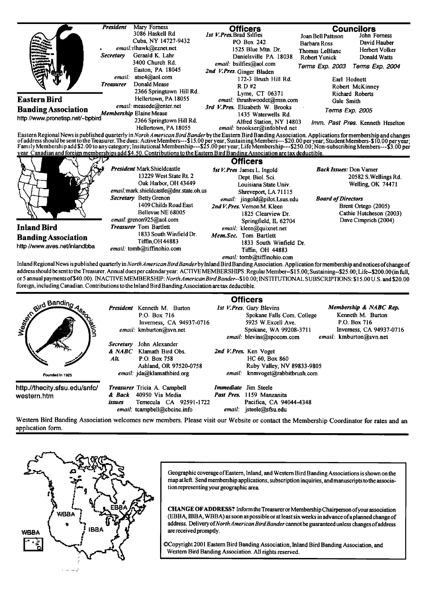|                                                                                                                                                                                                                                       | <b>President</b> | Mary Forness<br>3086 Haskell Rd                                                                                 | <b>Officers</b><br>1st V. Pres, Brad Silfies                                                                                | <b>Councilors</b><br>John Forness<br>Joan Bell Pattison       |                                                 |
|---------------------------------------------------------------------------------------------------------------------------------------------------------------------------------------------------------------------------------------|------------------|-----------------------------------------------------------------------------------------------------------------|-----------------------------------------------------------------------------------------------------------------------------|---------------------------------------------------------------|-------------------------------------------------|
|                                                                                                                                                                                                                                       | Secretary        | Cuba. NY 14727-9432<br>email:rlhawk@eznet.net<br>Geraald K. Lahr                                                | PO Box 242<br>1525 Blue Mtn. Dr.<br>Danielsville PA 18038                                                                   | <b>Barbara Ross</b><br>Thomas LeBlanc<br><b>Robert Yunick</b> | David Hauber<br>Herbert Volker<br>Donald Watts  |
|                                                                                                                                                                                                                                       | email:           | 3400 Church Rd.<br>Easton, PA 18045<br>atse4@aol.com                                                            | email: bsilfies@aol.com<br>2nd V.Pres. Ginger Bladen<br>172-3 Brush Hill Rd.                                                | Terms Exp. 2003<br>Earl Hodnett                               | Terms Exp. 2004                                 |
|                                                                                                                                                                                                                                       | <b>Treasurer</b> | Donald Mease<br>2366 Springtown Hill Rd.                                                                        | R D H2<br>Lyme, CT 06371                                                                                                    |                                                               | Robert McKinney<br>Richard Roberts              |
| <b>Eastern Bird</b>                                                                                                                                                                                                                   |                  | Hellertown, PA 18055                                                                                            | email: thrushwoodct@msn.com                                                                                                 | Gale Smith                                                    |                                                 |
| <b>Banding Association</b><br>http //www.pronetisp.net/~bpbird                                                                                                                                                                        |                  | email: measede@enter.net<br><b>Membership Elaine Mease</b>                                                      | 3rd V. Pres. Elizabeth W. Brooks<br>1435 Waterwells Rd.                                                                     | Terms Exp. 2005                                               |                                                 |
|                                                                                                                                                                                                                                       |                  | 2366 Springtown Hill Rd.<br>Hellertown, PA 18055                                                                | Alfred Station, NY 14803<br>email: brookser@infoblvd.net                                                                    |                                                               | Imm. Past Pres. Kenneth Heselton                |
| of address should be sent to the Treasurer. The dues: Active Members---\$15.00 per year; Sustaining Members---\$20.00 per year; Student Members-\$10.00 per year;<br>Family Membership add \$2.00 to any category; Insitutional Membe |                  |                                                                                                                 |                                                                                                                             |                                                               |                                                 |
|                                                                                                                                                                                                                                       |                  |                                                                                                                 | year Canadian and foreign memberships add \$4.50. Contributions to the Eastern Bird Banding Association are tax deductible. |                                                               |                                                 |
|                                                                                                                                                                                                                                       |                  | President Mark Shieldcastle<br>13229 West State Rt. 2                                                           | <b>Officers</b><br>1st V. Pres James L. Ingold<br>Dept. Biol. Sci.                                                          | <b>Back Issues: Don Varner</b>                                | 20582 S. Wellings Rd.                           |
|                                                                                                                                                                                                                                       |                  | Oak Harbor, OH 43449                                                                                            | Louisiana State Univ.                                                                                                       |                                                               | Welling, OK 74471                               |
|                                                                                                                                                                                                                                       |                  | email:mark.shieldcastle@dnr.state.oh.us<br>Secretary Betty Grenon<br>1409 Childs Road East<br>Bellevue NE 68005 | Shreveport, LA 71115<br>email: jingold@pilot.Lsus.edu<br>2nd V. Pres. Vernon M. Kleen                                       | <b>Board of Directors</b>                                     | Brent Ortego (2005)                             |
|                                                                                                                                                                                                                                       |                  | email: grenon925@aol.com                                                                                        | 1825 Clearview Dr.<br>Springfield, IL 62704                                                                                 |                                                               | Cathie Hutcheson (2003)<br>Dave Cimprich (2004) |
| <b>Inland Bird</b>                                                                                                                                                                                                                    |                  | <b>Treasurer</b> Tom Bartlett                                                                                   | email: kleen@quixnet.net                                                                                                    |                                                               |                                                 |
| <b>Banding Association</b>                                                                                                                                                                                                            |                  | 1833 South Winfield Dr.<br><b>Tiffin, OH 44883</b>                                                              | Mem.Sec. Tom Bartlett<br>1833 South Winfield Dr.                                                                            |                                                               |                                                 |

**Inland Regional News is published quarterly in North American BirdBander by Inland Bird Banding Association. Application formembership and notices ofchange of addresshould be sent to the Treasurer. Annual dues per calendar year: ACTIVE MEMBERS HIPS: Regular Mcmbcr--\$15.00; Sustaining-S25.00; Life-S200.00 (in full, or 5 annual payments of \$40.00). INACTIVE MEMBERSHIP: NorthAmericanBirdBander--\$10.00; INSTITUTIONAL SUBSCRIPTIONS: \$ ! 5.00 U.S. and \$20.00 foreign, including Canadian. Contributions to the Inland Bird BandingAssociation are tax deductible.** 

| all Banding<br>Joiksis                       | Secretary<br>& NABC<br>Alt. | President Kenneth M. Burton<br>P.O. Box 716<br>Inverness, CA 94937-0716<br>email: kmburton@svn.net<br>John Alexander<br>Klamath Bird Obs.<br>P.O. Box 758 |                                       | <b>Officers</b><br>1st V. Pres. Gary Blevins<br>Spokane Falls Com. College<br>5925 W.Excell Ave.<br>Spokane, WA 99208-3711<br>email: blevins@spocom.com<br>2nd V.Pres. Ken Voget<br>HC 60, Box 860 | Membership & NABC Rep.<br>Kenneth M. Burton<br>P.O. Box 716<br>Inverness, CA 94937-0716<br>email: kmburton@svn.net |
|----------------------------------------------|-----------------------------|-----------------------------------------------------------------------------------------------------------------------------------------------------------|---------------------------------------|----------------------------------------------------------------------------------------------------------------------------------------------------------------------------------------------------|--------------------------------------------------------------------------------------------------------------------|
| Founded in 1925                              |                             | Ashland, OR 97520-0758<br>email: jda@klamathbird.org                                                                                                      |                                       | Ruby Valley, NV 89833-9805<br>email: knmvoget@rabbitbrush.com                                                                                                                                      |                                                                                                                    |
| http.//thecity.sfsu.edu/snfc/<br>western.htm | & Back<br>issues            | Treasurer Tricia A. Campbell<br>40950 Via Media<br>Temecula CA 92591-1722<br>email: tcampbell@cbcinc.info                                                 | <i>Immediate</i> Jim Steele<br>email: | Past Pres. 1159 Manzanita<br>Pacifica, CA 94044-4348<br>jsteele@sfsu.edu                                                                                                                           |                                                                                                                    |

**Western Bird Banding Association welcomes new members. Please visit our Website or contact the Membership Coordinator for rates and an application form.** 



Geographic coverage of Eastern, Inland, and Western Bird Banding Associations is shown on the map at left. Send membership applications, subscription inquiries, and manuscripts to the associa**tion representing your geographic area.** 

**CHANGE OF ADDRESS?** Inform the Treasurer or Membership Chairperson of your association **(EBBA, IBBA, WBBA) as soon as possible orat least six weeks in advance ofa planned change of address. Delivery of North American BirdBander cannot be guaranteed unless changes of address are received promptly.** 

**¸Copyright 2001 Eastern Bird Banding Association, Inland Bird Banding Association, and Western Bird Banding Association. All rights reserved.**